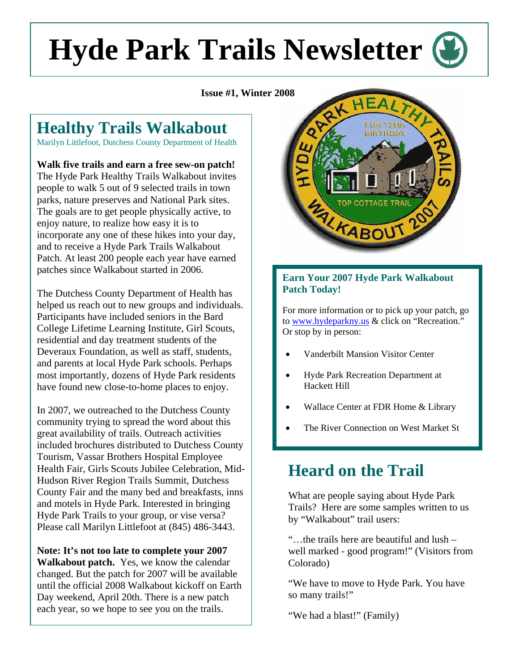# **Hyde Park Trails Newsletter**

**Issue #1, Winter 2008** 

# **Healthy Trails Walkabout**

Marilyn Littlefoot, Dutchess County Department of Health

**Walk five trails and earn a free sew-on patch!**  The Hyde Park Healthy Trails Walkabout invites people to walk 5 out of 9 selected trails in town parks, nature preserves and National Park sites. The goals are to get people physically active, to enjoy nature, to realize how easy it is to incorporate any one of these hikes into your day, and to receive a Hyde Park Trails Walkabout Patch. At least 200 people each year have earned patches since Walkabout started in 2006.

The Dutchess County Department of Health has helped us reach out to new groups and individuals. Participants have included seniors in the Bard College Lifetime Learning Institute, Girl Scouts, residential and day treatment students of the Deveraux Foundation, as well as staff, students, and parents at local Hyde Park schools. Perhaps most importantly, dozens of Hyde Park residents have found new close-to-home places to enjoy.

In 2007, we outreached to the Dutchess County community trying to spread the word about this great availability of trails. Outreach activities included brochures distributed to Dutchess County Tourism, Vassar Brothers Hospital Employee Health Fair, Girls Scouts Jubilee Celebration, Mid-Hudson River Region Trails Summit, Dutchess County Fair and the many bed and breakfasts, inns and motels in Hyde Park. Interested in bringing Hyde Park Trails to your group, or vise versa? Please call Marilyn Littlefoot at (845) 486-3443.

**Note: It's not too late to complete your 2007 Walkabout patch.** Yes, we know the calendar changed. But the patch for 2007 will be available until the official 2008 Walkabout kickoff on Earth Day weekend, April 20th. There is a new patch each year, so we hope to see you on the trails.



#### **Earn Your 2007 Hyde Park Walkabout Patch Today!**

For more information or to pick up your patch, go to [www.hydeparkny.us](http://www.hydeparkny.us/) & click on "Recreation." Or stop by in person:

- Vanderbilt Mansion Visitor Center
- Hyde Park Recreation Department at Hackett Hill
- Wallace Center at FDR Home & Library
- The River Connection on West Market St

# **Heard on the Trail**

What are people saying about Hyde Park Trails? Here are some samples written to us by "Walkabout" trail users:

"…the trails here are beautiful and lush – well marked - good program!" (Visitors from Colorado)

"We have to move to Hyde Park. You have so many trails!"

"We had a blast!" (Family)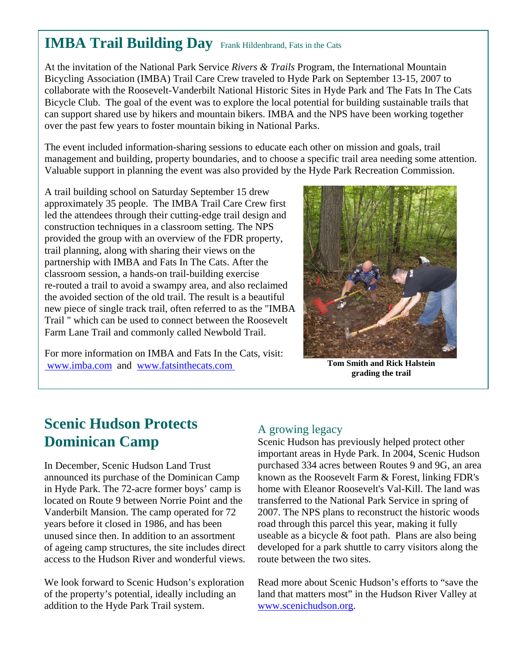## **IMBA Trail Building Day** Frank Hildenbrand, Fats in the Cats

At the invitation of the National Park Service *Rivers & Trails* Program, the International Mountain Bicycling Association (IMBA) Trail Care Crew traveled to Hyde Park on September 13-15, 2007 to collaborate with the Roosevelt-Vanderbilt National Historic Sites in Hyde Park and The Fats In The Cats Bicycle Club. The goal of the event was to explore the local potential for building sustainable trails that can support shared use by hikers and mountain bikers. IMBA and the NPS have been working together over the past few years to foster mountain biking in National Parks.

The event included information-sharing sessions to educate each other on mission and goals, trail management and building, property boundaries, and to choose a specific trail area needing some attention. Valuable support in planning the event was also provided by the Hyde Park Recreation Commission.

A trail building school on Saturday September 15 drew approximately 35 people. The IMBA Trail Care Crew first led the attendees through their cutting-edge trail design and construction techniques in a classroom setting. The NPS provided the group with an overview of the FDR property, trail planning, along with sharing their views on the partnership with IMBA and Fats In The Cats. After the classroom session, a hands-on trail-building exercise re-routed a trail to avoid a swampy area, and also reclaimed the avoided section of the old trail. The result is a beautiful new piece of single track trail, often referred to as the "IMBA Trail " which can be used to connect between the Roosevelt Farm Lane Trail and commonly called Newbold Trail.

For more information on IMBA and Fats In the Cats, visit:  [www.imba.com](https://np101ecr.nps.gov/mail/AlannaHjortland.nsf/Local%20Settings/Temp/notesFFF692/%20www.imba.com) and [www.fatsinthecats.com](http://www.fatsinthecats.com/) 



**Tom Smith and Rick Halstein grading the trail** 

# **Scenic Hudson Protects Dominican Camp**

In December, Scenic Hudson Land Trust announced its purchase of the Dominican Camp in Hyde Park. The 72-acre former boys' camp is located on Route 9 between Norrie Point and the Vanderbilt Mansion. The camp operated for 72 years before it closed in 1986, and has been unused since then. In addition to an assortment of ageing camp structures, the site includes direct access to the Hudson River and wonderful views.

We look forward to Scenic Hudson's exploration of the property's potential, ideally including an addition to the Hyde Park Trail system.

#### A growing legacy

Scenic Hudson has previously helped protect other important areas in Hyde Park. In 2004, Scenic Hudson purchased 334 acres between Routes 9 and 9G, an area known as the Roosevelt Farm & Forest, linking FDR's home with Eleanor Roosevelt's Val-Kill. The land was transferred to the National Park Service in spring of 2007. The NPS plans to reconstruct the historic woods road through this parcel this year, making it fully useable as a bicycle & foot path. Plans are also being developed for a park shuttle to carry visitors along the route between the two sites.

Read more about Scenic Hudson's efforts to "save the land that matters most" in the Hudson River Valley at [www.scenichudson.org.](https://np101ecr.nps.gov/mail/AlannaHjortland.nsf/Local%20Settings/Temp/notesFFF692/www.scenichudson.org)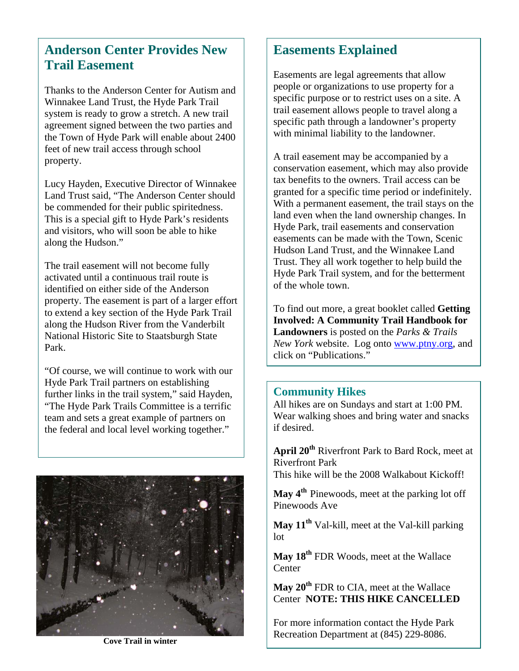### **Anderson Center Provides New Trail Easement**

Thanks to the Anderson Center for Autism and Winnakee Land Trust, the Hyde Park Trail system is ready to grow a stretch. A new trail agreement signed between the two parties and the Town of Hyde Park will enable about 2400 feet of new trail access through school property.

Lucy Hayden, Executive Director of Winnakee Land Trust said, "The Anderson Center should be commended for their public spiritedness. This is a special gift to Hyde Park's residents and visitors, who will soon be able to hike along the Hudson."

The trail easement will not become fully activated until a continuous trail route is identified on either side of the Anderson property. The easement is part of a larger effort to extend a key section of the Hyde Park Trail along the Hudson River from the Vanderbilt National Historic Site to Staatsburgh State Park.

 Hyde Park Trail partners on establishing "Of course, we will continue to work with our further links in the trail system," said Hayden, "The Hyde Park Trails Committee is a terrific team and sets a great example of partners on the federal and local level working together."



#### **Easements Explained**

Easements are legal agreements that allow people or organizations to use property for a specific purpose or to restrict uses on a site. A trail easement allows people to travel along a specific path through a landowner's property with minimal liability to the landowner.

A trail easement may be accompanied by a conservation easement, which may also provide tax benefits to the owners. Trail access can be granted for a specific time period or indefinitely. With a permanent easement, the trail stays on the land even when the land ownership changes. In Hyde Park, trail easements and conservation easements can be made with the Town, Scenic Hudson Land Trust, and the Winnakee Land Trust. They all work together to help build the Hyde Park Trail system, and for the betterment of the whole town.

To find out more, a great booklet called **Getting Involved: A Community Trail Handbook for Landowners** is posted on the *Parks & Trails New York* website. Log onto [www.ptny.org](http://www.ptny.org/), and click on "Publications."

#### **Community Hikes**

All hikes are on Sundays and start at 1:00 PM. Wear walking shoes and bring water and snacks if desired.

**April 20th** Riverfront Park to Bard Rock, meet at Riverfront Park

This hike will be the 2008 Walkabout Kickoff!

**May 4th** Pinewoods, meet at the parking lot off Pinewoods Ave

**May 11th** Val-kill, meet at the Val-kill parking lot

**May 18th** FDR Woods, meet at the Wallace **Center** 

**May 20th** FDR to CIA, meet at the Wallace Center **NOTE: THIS HIKE CANCELLED**

For more information contact the Hyde Park Recreation Department at (845) 229-8086. **Cove Trail in winter**